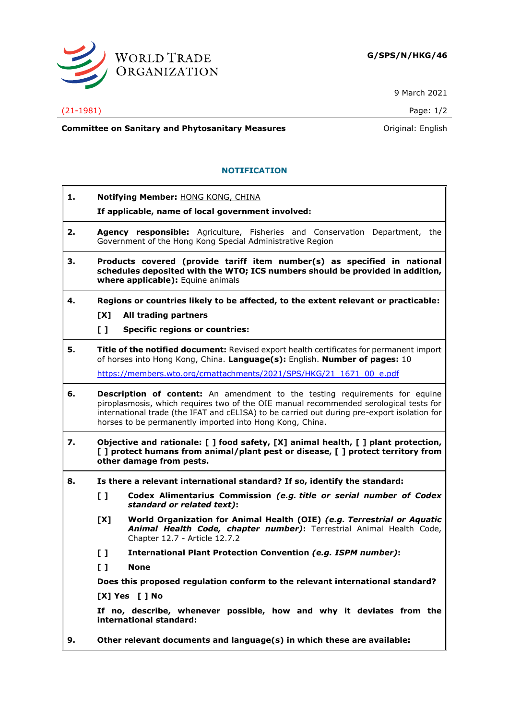

9 March 2021

## (21-1981) Page: 1/2

**Committee on Sanitary and Phytosanitary Measures Committee on Sanitary and Phytosanitary Measures Committee And American** 

## **NOTIFICATION**

**1. Notifying Member:** HONG KONG, CHINA **If applicable, name of local government involved: 2. Agency responsible:** Agriculture, Fisheries and Conservation Department, the Government of the Hong Kong Special Administrative Region **3. Products covered (provide tariff item number(s) as specified in national schedules deposited with the WTO; ICS numbers should be provided in addition, where applicable):** Equine animals **4. Regions or countries likely to be affected, to the extent relevant or practicable: [X] All trading partners [ ] Specific regions or countries: 5. Title of the notified document:** Revised export health certificates for permanent import of horses into Hong Kong, China. **Language(s):** English. **Number of pages:** 10 [https://members.wto.org/crnattachments/2021/SPS/HKG/21\\_1671\\_00\\_e.pdf](https://members.wto.org/crnattachments/2021/SPS/HKG/21_1671_00_e.pdf) **6. Description of content:** An amendment to the testing requirements for equine piroplasmosis, which requires two of the OIE manual recommended serological tests for international trade (the IFAT and cELISA) to be carried out during pre-export isolation for horses to be permanently imported into Hong Kong, China. **7. Objective and rationale: [ ] food safety, [X] animal health, [ ] plant protection, [ ] protect humans from animal/plant pest or disease, [ ] protect territory from other damage from pests. 8. Is there a relevant international standard? If so, identify the standard: [ ] Codex Alimentarius Commission** *(e.g. title or serial number of Codex standard or related text)***: [X] World Organization for Animal Health (OIE)** *(e.g. Terrestrial or Aquatic Animal Health Code, chapter number)***:** Terrestrial Animal Health Code, Chapter 12.7 - Article 12.7.2 **[ ] International Plant Protection Convention** *(e.g. ISPM number)***: [ ] None Does this proposed regulation conform to the relevant international standard? [X] Yes [ ] No If no, describe, whenever possible, how and why it deviates from the international standard: 9. Other relevant documents and language(s) in which these are available:**